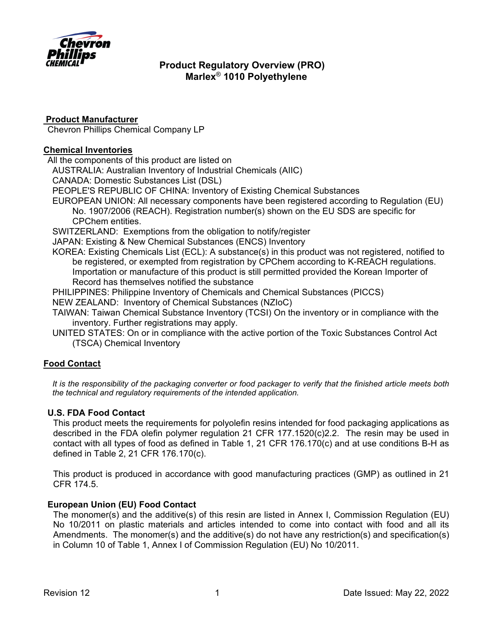

## **Product Manufacturer**

Chevron Phillips Chemical Company LP

### **Chemical Inventories**

All the components of this product are listed on

AUSTRALIA: Australian Inventory of Industrial Chemicals (AIIC)

CANADA: Domestic Substances List (DSL)

PEOPLE'S REPUBLIC OF CHINA: Inventory of Existing Chemical Substances

- EUROPEAN UNION: All necessary components have been registered according to Regulation (EU) No. 1907/2006 (REACH). Registration number(s) shown on the EU SDS are specific for CPChem entities.
- SWITZERLAND: Exemptions from the obligation to notify/register

JAPAN: Existing & New Chemical Substances (ENCS) Inventory

KOREA: Existing Chemicals List (ECL): A substance(s) in this product was not registered, notified to be registered, or exempted from registration by CPChem according to K-REACH regulations. Importation or manufacture of this product is still permitted provided the Korean Importer of Record has themselves notified the substance

PHILIPPINES: Philippine Inventory of Chemicals and Chemical Substances (PICCS)

NEW ZEALAND: Inventory of Chemical Substances (NZIoC)

TAIWAN: Taiwan Chemical Substance Inventory (TCSI) On the inventory or in compliance with the inventory. Further registrations may apply.

UNITED STATES: On or in compliance with the active portion of the Toxic Substances Control Act (TSCA) Chemical Inventory

## **Food Contact**

*It is the responsibility of the packaging converter or food packager to verify that the finished article meets both the technical and regulatory requirements of the intended application.*

## **U.S. FDA Food Contact**

This product meets the requirements for polyolefin resins intended for food packaging applications as described in the FDA olefin polymer regulation 21 CFR 177.1520(c)2.2. The resin may be used in contact with all types of food as defined in Table 1, 21 CFR 176.170(c) and at use conditions B-H as defined in Table 2, 21 CFR 176.170(c).

This product is produced in accordance with good manufacturing practices (GMP) as outlined in 21 CFR 174.5.

## **European Union (EU) Food Contact**

The monomer(s) and the additive(s) of this resin are listed in Annex I, Commission Regulation (EU) No 10/2011 on plastic materials and articles intended to come into contact with food and all its Amendments. The monomer(s) and the additive(s) do not have any restriction(s) and specification(s) in Column 10 of Table 1, Annex I of Commission Regulation (EU) No 10/2011.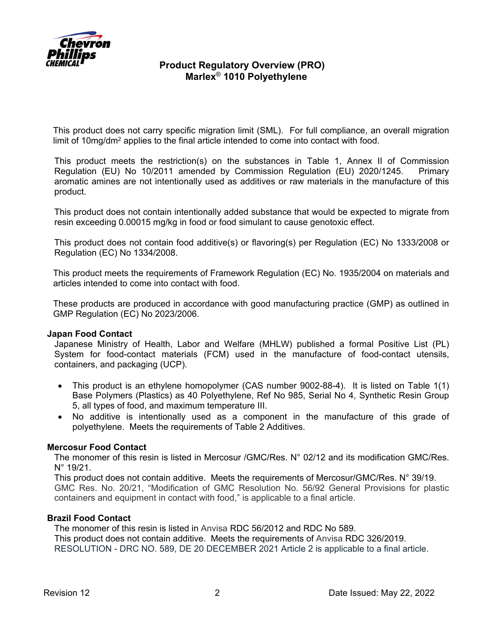

This product does not carry specific migration limit (SML). For full compliance, an overall migration limit of 10mg/dm2 applies to the final article intended to come into contact with food.

This product meets the restriction(s) on the substances in Table 1, Annex II of Commission Regulation (EU) No 10/2011 amended by Commission Regulation (EU) 2020/1245. Primary aromatic amines are not intentionally used as additives or raw materials in the manufacture of this product.

This product does not contain intentionally added substance that would be expected to migrate from resin exceeding 0.00015 mg/kg in food or food simulant to cause genotoxic effect.

This product does not contain food additive(s) or flavoring(s) per Regulation (EC) No 1333/2008 or Regulation (EC) No 1334/2008.

This product meets the requirements of Framework Regulation (EC) No. 1935/2004 on materials and articles intended to come into contact with food.

These products are produced in accordance with good manufacturing practice (GMP) as outlined in GMP Regulation (EC) No 2023/2006.

### **Japan Food Contact**

Japanese Ministry of Health, Labor and Welfare (MHLW) published a formal Positive List (PL) System for food-contact materials (FCM) used in the manufacture of food-contact utensils, containers, and packaging (UCP).

- This product is an ethylene homopolymer (CAS number 9002-88-4). It is listed on Table 1(1) Base Polymers (Plastics) as 40 Polyethylene, Ref No 985, Serial No 4, Synthetic Resin Group 5, all types of food, and maximum temperature III.
- No additive is intentionally used as a component in the manufacture of this grade of polyethylene. Meets the requirements of Table 2 Additives.

## **Mercosur Food Contact**

The monomer of this resin is listed in Mercosur /GMC/Res. N° 02/12 and its modification GMC/Res. N° 19/21.

This product does not contain additive. Meets the requirements of Mercosur/GMC/Res. N° 39/19. GMC Res. No. 20/21, "Modification of GMC Resolution No. 56/92 General Provisions for plastic containers and equipment in contact with food," is applicable to a final article.

### **Brazil Food Contact**

The monomer of this resin is listed in Anvisa RDC 56/2012 and RDC No 589. This product does not contain additive. Meets the requirements of Anvisa RDC 326/2019. RESOLUTION - DRC NO. 589, DE 20 DECEMBER 2021 Article 2 is applicable to a final article.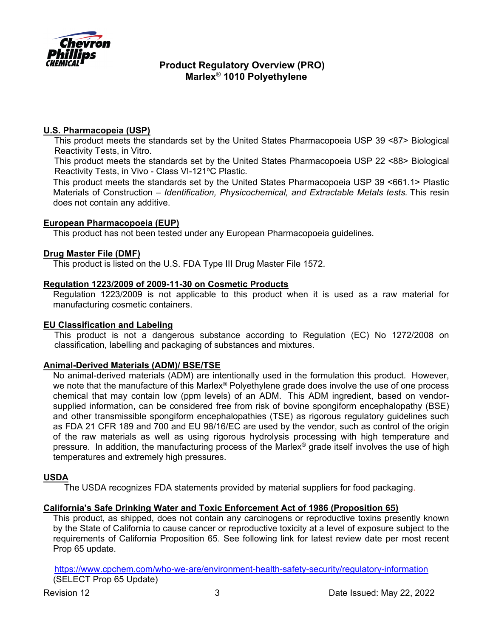

## **U.S. Pharmacopeia (USP)**

This product meets the standards set by the United States Pharmacopoeia USP 39 <87> Biological Reactivity Tests, in Vitro.

This product meets the standards set by the United States Pharmacopoeia USP 22 <88> Biological Reactivity Tests, in Vivo - Class VI-121°C Plastic.

This product meets the standards set by the United States Pharmacopoeia USP 39 <661.1> Plastic Materials of Construction – *Identification, Physicochemical, and Extractable Metals tests.* This resin does not contain any additive.

### **European Pharmacopoeia (EUP)**

This product has not been tested under any European Pharmacopoeia guidelines.

### **Drug Master File (DMF)**

This product is listed on the U.S. FDA Type III Drug Master File 1572.

### **Regulation 1223/2009 of 2009-11-30 on Cosmetic Products**

Regulation 1223/2009 is not applicable to this product when it is used as a raw material for manufacturing cosmetic containers.

### **EU Classification and Labeling**

This product is not a dangerous substance according to Regulation (EC) No 1272/2008 on classification, labelling and packaging of substances and mixtures.

### **Animal-Derived Materials (ADM)/ BSE/TSE**

No animal-derived materials (ADM) are intentionally used in the formulation this product. However, we note that the manufacture of this Marlex<sup>®</sup> Polyethylene grade does involve the use of one process chemical that may contain low (ppm levels) of an ADM. This ADM ingredient, based on vendorsupplied information, can be considered free from risk of bovine spongiform encephalopathy (BSE) and other transmissible spongiform encephalopathies (TSE) as rigorous regulatory guidelines such as FDA 21 CFR 189 and 700 and EU 98/16/EC are used by the vendor, such as control of the origin of the raw materials as well as using rigorous hydrolysis processing with high temperature and pressure. In addition, the manufacturing process of the Marlex® grade itself involves the use of high temperatures and extremely high pressures.

### **USDA**

The USDA recognizes FDA statements provided by material suppliers for food packaging.

### **California's Safe Drinking Water and Toxic Enforcement Act of 1986 (Proposition 65)**

This product, as shipped, does not contain any carcinogens or reproductive toxins presently known by the State of California to cause cancer or reproductive toxicity at a level of exposure subject to the requirements of California Proposition 65. See following link for latest review date per most recent Prop 65 update.

https://www.cpchem.com/who-we-are/environment-health-safety-security/regulatory-information (SELECT Prop 65 Update)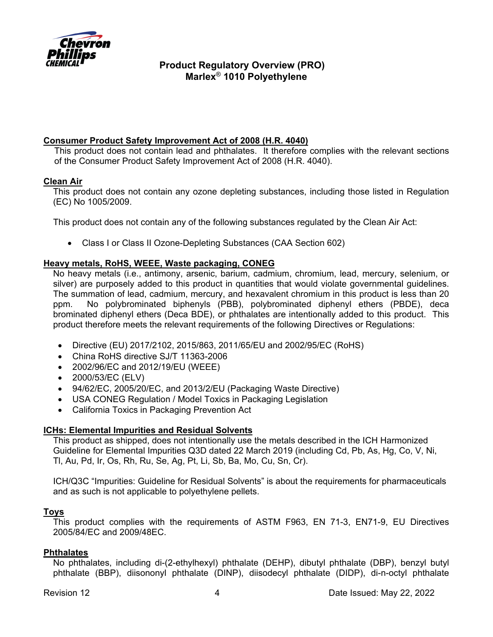

# **Consumer Product Safety Improvement Act of 2008 (H.R. 4040)**

This product does not contain lead and phthalates. It therefore complies with the relevant sections of the Consumer Product Safety Improvement Act of 2008 (H.R. 4040).

## **Clean Air**

This product does not contain any ozone depleting substances, including those listed in Regulation (EC) No 1005/2009.

This product does not contain any of the following substances regulated by the Clean Air Act:

Class I or Class II Ozone-Depleting Substances (CAA Section 602)

### **Heavy metals, RoHS, WEEE, Waste packaging, CONEG**

No heavy metals (i.e., antimony, arsenic, barium, cadmium, chromium, lead, mercury, selenium, or silver) are purposely added to this product in quantities that would violate governmental guidelines. The summation of lead, cadmium, mercury, and hexavalent chromium in this product is less than 20 ppm. No polybrominated biphenyls (PBB), polybrominated diphenyl ethers (PBDE), deca brominated diphenyl ethers (Deca BDE), or phthalates are intentionally added to this product. This product therefore meets the relevant requirements of the following Directives or Regulations:

- Directive (EU) 2017/2102, 2015/863, 2011/65/EU and 2002/95/EC (RoHS)
- China RoHS directive SJ/T 11363-2006
- 2002/96/EC and 2012/19/EU (WEEE)
- 2000/53/EC (ELV)
- 94/62/EC, 2005/20/EC, and 2013/2/EU (Packaging Waste Directive)
- USA CONEG Regulation / Model Toxics in Packaging Legislation
- California Toxics in Packaging Prevention Act

### **ICHs: Elemental Impurities and Residual Solvents**

This product as shipped, does not intentionally use the metals described in the ICH Harmonized Guideline for Elemental Impurities Q3D dated 22 March 2019 (including Cd, Pb, As, Hg, Co, V, Ni, Tl, Au, Pd, Ir, Os, Rh, Ru, Se, Ag, Pt, Li, Sb, Ba, Mo, Cu, Sn, Cr).

ICH/Q3C "Impurities: Guideline for Residual Solvents" is about the requirements for pharmaceuticals and as such is not applicable to polyethylene pellets.

## **Toys**

This product complies with the requirements of ASTM F963, EN 71-3, EN71-9, EU Directives 2005/84/EC and 2009/48EC.

### **Phthalates**

No phthalates, including di-(2-ethylhexyl) phthalate (DEHP), dibutyl phthalate (DBP), benzyl butyl phthalate (BBP), diisononyl phthalate (DINP), diisodecyl phthalate (DIDP), di-n-octyl phthalate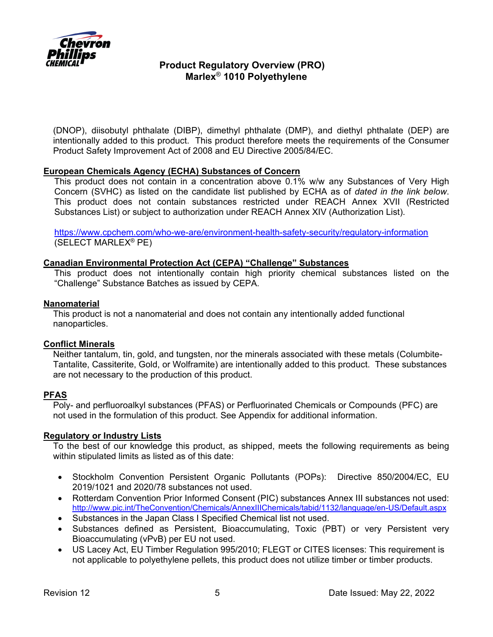

(DNOP), diisobutyl phthalate (DIBP), dimethyl phthalate (DMP), and diethyl phthalate (DEP) are intentionally added to this product. This product therefore meets the requirements of the Consumer Product Safety Improvement Act of 2008 and EU Directive 2005/84/EC.

### **European Chemicals Agency (ECHA) Substances of Concern**

This product does not contain in a concentration above 0.1% w/w any Substances of Very High Concern (SVHC) as listed on the candidate list published by ECHA as of *dated in the link below*. This product does not contain substances restricted under REACH Annex XVII (Restricted Substances List) or subject to authorization under REACH Annex XIV (Authorization List).

https://www.cpchem.com/who-we-are/environment-health-safety-security/regulatory-information (SELECT MARLEX® PE)

### **Canadian Environmental Protection Act (CEPA) "Challenge" Substances**

This product does not intentionally contain high priority chemical substances listed on the "Challenge" Substance Batches as issued by CEPA.

### **Nanomaterial**

This product is not a nanomaterial and does not contain any intentionally added functional nanoparticles.

### **Conflict Minerals**

Neither tantalum, tin, gold, and tungsten, nor the minerals associated with these metals (Columbite-Tantalite, Cassiterite, Gold, or Wolframite) are intentionally added to this product. These substances are not necessary to the production of this product.

### **PFAS**

Poly- and perfluoroalkyl substances (PFAS) or Perfluorinated Chemicals or Compounds (PFC) are not used in the formulation of this product. See Appendix for additional information.

### **Regulatory or Industry Lists**

To the best of our knowledge this product, as shipped, meets the following requirements as being within stipulated limits as listed as of this date:

- Stockholm Convention Persistent Organic Pollutants (POPs): Directive 850/2004/EC, EU 2019/1021 and 2020/78 substances not used.
- Rotterdam Convention Prior Informed Consent (PIC) substances Annex III substances not used: http://www.pic.int/TheConvention/Chemicals/AnnexIIIChemicals/tabid/1132/language/en-US/Default.aspx
- Substances in the Japan Class I Specified Chemical list not used.
- Substances defined as Persistent, Bioaccumulating, Toxic (PBT) or very Persistent very Bioaccumulating (vPvB) per EU not used.
- US Lacey Act, EU Timber Regulation 995/2010; FLEGT or CITES licenses: This requirement is not applicable to polyethylene pellets, this product does not utilize timber or timber products.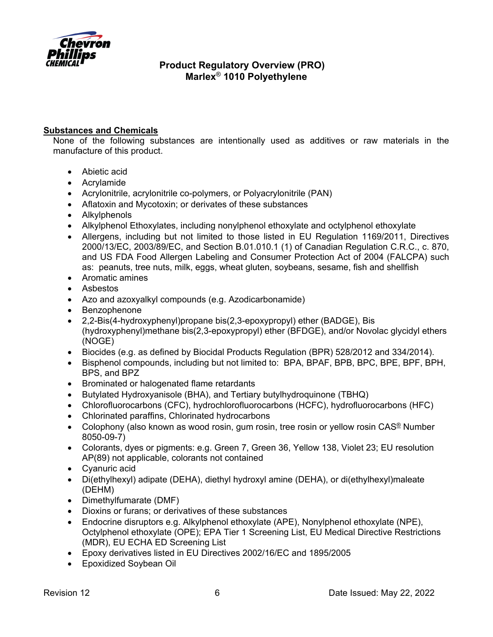

# **Substances and Chemicals**

None of the following substances are intentionally used as additives or raw materials in the manufacture of this product.

- Abietic acid
- Acrylamide
- Acrylonitrile, acrylonitrile co-polymers, or Polyacrylonitrile (PAN)
- Aflatoxin and Mycotoxin; or derivates of these substances
- Alkylphenols
- Alkylphenol Ethoxylates, including nonylphenol ethoxylate and octylphenol ethoxylate
- Allergens, including but not limited to those listed in EU Regulation 1169/2011, Directives 2000/13/EC, 2003/89/EC, and Section B.01.010.1 (1) of Canadian Regulation C.R.C., c. 870, and US FDA Food Allergen Labeling and Consumer Protection Act of 2004 (FALCPA) such as: peanuts, tree nuts, milk, eggs, wheat gluten, soybeans, sesame, fish and shellfish
- Aromatic amines
- Asbestos
- Azo and azoxyalkyl compounds (e.g. Azodicarbonamide)
- Benzophenone
- 2,2-Bis(4-hydroxyphenyl)propane bis(2,3-epoxypropyl) ether (BADGE), Bis (hydroxyphenyl)methane bis(2,3-epoxypropyl) ether (BFDGE), and/or Novolac glycidyl ethers (NOGE)
- Biocides (e.g. as defined by Biocidal Products Regulation (BPR) 528/2012 and 334/2014).
- Bisphenol compounds, including but not limited to: BPA, BPAF, BPB, BPC, BPE, BPF, BPH, BPS, and BPZ
- Brominated or halogenated flame retardants
- Butylated Hydroxyanisole (BHA), and Tertiary butylhydroquinone (TBHQ)
- Chlorofluorocarbons (CFC), hydrochlorofluorocarbons (HCFC), hydrofluorocarbons (HFC)
- Chlorinated paraffins, Chlorinated hydrocarbons
- Colophony (also known as wood rosin, gum rosin, tree rosin or yellow rosin CAS<sup>®</sup> Number 8050-09-7)
- Colorants, dyes or pigments: e.g. Green 7, Green 36, Yellow 138, Violet 23; EU resolution AP(89) not applicable, colorants not contained
- Cyanuric acid
- Di(ethylhexyl) adipate (DEHA), diethyl hydroxyl amine (DEHA), or di(ethylhexyl)maleate (DEHM)
- Dimethylfumarate (DMF)
- Dioxins or furans; or derivatives of these substances
- Endocrine disruptors e.g. Alkylphenol ethoxylate (APE), Nonylphenol ethoxylate (NPE), Octylphenol ethoxylate (OPE); EPA Tier 1 Screening List, EU Medical Directive Restrictions (MDR), EU ECHA ED Screening List
- Epoxy derivatives listed in EU Directives 2002/16/EC and 1895/2005
- Epoxidized Soybean Oil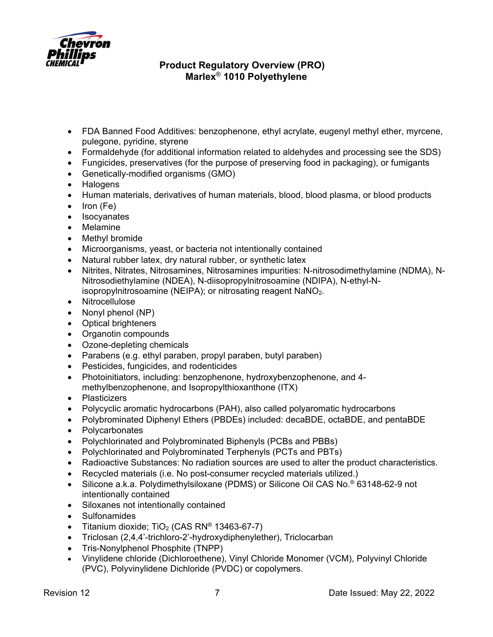

- FDA Banned Food Additives: benzophenone, ethyl acrylate, eugenyl methyl ether, myrcene, pulegone, pyridine, styrene
- Formaldehyde (for additional information related to aldehydes and processing see the SDS)
- Fungicides, preservatives (for the purpose of preserving food in packaging), or fumigants
- Genetically-modified organisms (GMO)
- Halogens
- Human materials, derivatives of human materials, blood, blood plasma, or blood products
- Iron (Fe)
- Isocyanates
- Melamine
- Methyl bromide
- Microorganisms, yeast, or bacteria not intentionally contained
- Natural rubber latex, dry natural rubber, or synthetic latex
- Nitrites, Nitrates, Nitrosamines, Nitrosamines impurities: N-nitrosodimethylamine (NDMA), N-Nitrosodiethylamine (NDEA), N-diisopropylnitrosoamine (NDIPA), N-ethyl-Nisopropylnitrosoamine (NEIPA); or nitrosating reagent  $NaNO<sub>2</sub>$ .
- Nitrocellulose
- Nonyl phenol  $(NP)$
- Optical brighteners
- Organotin compounds
- Ozone-depleting chemicals
- Parabens (e.g. ethyl paraben, propyl paraben, butyl paraben)
- Pesticides, fungicides, and rodenticides
- Photoinitiators, including: benzophenone, hydroxybenzophenone, and 4 methylbenzophenone, and Isopropylthioxanthone (ITX)
- Plasticizers
- Polycyclic aromatic hydrocarbons (PAH), also called polyaromatic hydrocarbons
- Polybrominated Diphenyl Ethers (PBDEs) included: decaBDE, octaBDE, and pentaBDE
- Polycarbonates
- Polychlorinated and Polybrominated Biphenyls (PCBs and PBBs)
- Polychlorinated and Polybrominated Terphenyls (PCTs and PBTs)
- Radioactive Substances: No radiation sources are used to alter the product characteristics.
- Recycled materials (i.e. No post-consumer recycled materials utilized.)
- Silicone a.k.a. Polydimethylsiloxane (PDMS) or Silicone Oil CAS No.® 63148-62-9 not intentionally contained
- Siloxanes not intentionally contained
- Sulfonamides
- Titanium dioxide;  $TiO<sub>2</sub>$  (CAS RN<sup>®</sup> 13463-67-7)
- Triclosan (2,4,4'-trichloro-2'-hydroxydiphenylether), Triclocarban
- Tris-Nonylphenol Phosphite (TNPP)
- Vinylidene chloride (Dichloroethene), Vinyl Chloride Monomer (VCM), Polyvinyl Chloride (PVC), Polyvinylidene Dichloride (PVDC) or copolymers.